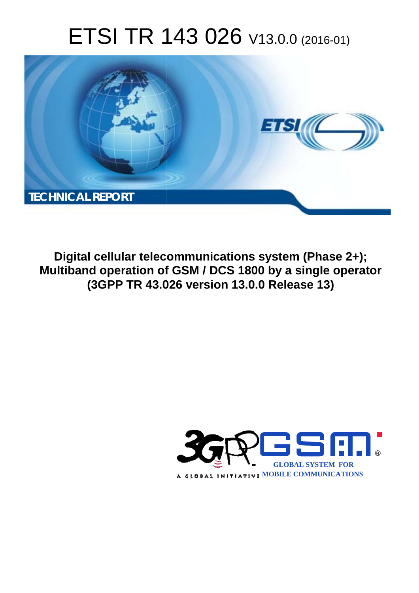# ETSI TR 143 026 V13.0.0 (2016-01)



**Digital cellular telecommunications system (Phase 2+); Multiband operation of GSM / DCS 1800 by a single operator (3GPP TR 43.0 .026 version 13.0.0 Release 13 13)** 

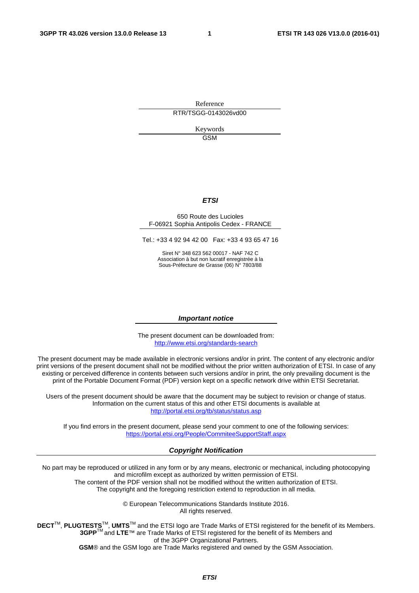Reference RTR/TSGG-0143026vd00

> Keywords **GSM**

#### *ETSI*

#### 650 Route des Lucioles F-06921 Sophia Antipolis Cedex - FRANCE

Tel.: +33 4 92 94 42 00 Fax: +33 4 93 65 47 16

Siret N° 348 623 562 00017 - NAF 742 C Association à but non lucratif enregistrée à la Sous-Préfecture de Grasse (06) N° 7803/88

#### *Important notice*

The present document can be downloaded from: <http://www.etsi.org/standards-search>

The present document may be made available in electronic versions and/or in print. The content of any electronic and/or print versions of the present document shall not be modified without the prior written authorization of ETSI. In case of any existing or perceived difference in contents between such versions and/or in print, the only prevailing document is the print of the Portable Document Format (PDF) version kept on a specific network drive within ETSI Secretariat.

Users of the present document should be aware that the document may be subject to revision or change of status. Information on the current status of this and other ETSI documents is available at <http://portal.etsi.org/tb/status/status.asp>

If you find errors in the present document, please send your comment to one of the following services: <https://portal.etsi.org/People/CommiteeSupportStaff.aspx>

#### *Copyright Notification*

No part may be reproduced or utilized in any form or by any means, electronic or mechanical, including photocopying and microfilm except as authorized by written permission of ETSI.

The content of the PDF version shall not be modified without the written authorization of ETSI. The copyright and the foregoing restriction extend to reproduction in all media.

> © European Telecommunications Standards Institute 2016. All rights reserved.

**DECT**TM, **PLUGTESTS**TM, **UMTS**TM and the ETSI logo are Trade Marks of ETSI registered for the benefit of its Members. **3GPP**TM and **LTE**™ are Trade Marks of ETSI registered for the benefit of its Members and of the 3GPP Organizational Partners.

**GSM**® and the GSM logo are Trade Marks registered and owned by the GSM Association.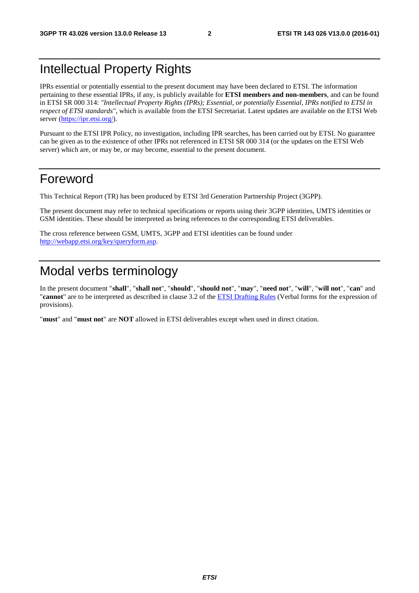# Intellectual Property Rights

IPRs essential or potentially essential to the present document may have been declared to ETSI. The information pertaining to these essential IPRs, if any, is publicly available for **ETSI members and non-members**, and can be found in ETSI SR 000 314: *"Intellectual Property Rights (IPRs); Essential, or potentially Essential, IPRs notified to ETSI in respect of ETSI standards"*, which is available from the ETSI Secretariat. Latest updates are available on the ETSI Web server [\(https://ipr.etsi.org/](https://ipr.etsi.org/)).

Pursuant to the ETSI IPR Policy, no investigation, including IPR searches, has been carried out by ETSI. No guarantee can be given as to the existence of other IPRs not referenced in ETSI SR 000 314 (or the updates on the ETSI Web server) which are, or may be, or may become, essential to the present document.

# Foreword

This Technical Report (TR) has been produced by ETSI 3rd Generation Partnership Project (3GPP).

The present document may refer to technical specifications or reports using their 3GPP identities, UMTS identities or GSM identities. These should be interpreted as being references to the corresponding ETSI deliverables.

The cross reference between GSM, UMTS, 3GPP and ETSI identities can be found under [http://webapp.etsi.org/key/queryform.asp.](http://webapp.etsi.org/key/queryform.asp)

# Modal verbs terminology

In the present document "**shall**", "**shall not**", "**should**", "**should not**", "**may**", "**need not**", "**will**", "**will not**", "**can**" and "**cannot**" are to be interpreted as described in clause 3.2 of the [ETSI Drafting Rules](http://portal.etsi.org/Help/editHelp!/Howtostart/ETSIDraftingRules.aspx) (Verbal forms for the expression of provisions).

"**must**" and "**must not**" are **NOT** allowed in ETSI deliverables except when used in direct citation.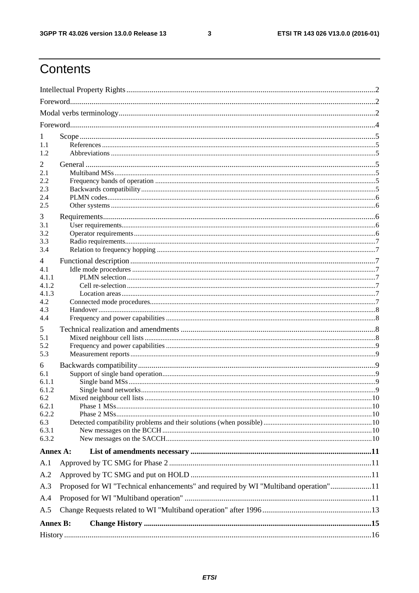$\mathbf{3}$ 

# Contents

| 1<br>1.1<br>1.2                                          |                                                                                     |  |  |  |  |  |
|----------------------------------------------------------|-------------------------------------------------------------------------------------|--|--|--|--|--|
| 2<br>2.1<br>2.2<br>2.3<br>2.4<br>2.5                     |                                                                                     |  |  |  |  |  |
| 3<br>3.1<br>3.2<br>3.3<br>3.4                            |                                                                                     |  |  |  |  |  |
| 4<br>4.1<br>4 1 1<br>4.1.2<br>4.1.3<br>4.2<br>4.3<br>4.4 |                                                                                     |  |  |  |  |  |
| 5<br>5.1<br>5.2<br>5.3                                   |                                                                                     |  |  |  |  |  |
| 6<br>6.1<br>6.1.1<br>6.1.2<br>6.2<br>6.2.1<br>6.2.2      |                                                                                     |  |  |  |  |  |
| 6.3<br>6.3.1<br>6.3.2                                    |                                                                                     |  |  |  |  |  |
| Annex A:                                                 |                                                                                     |  |  |  |  |  |
| A.1                                                      |                                                                                     |  |  |  |  |  |
| A.2<br>A.3                                               | Proposed for WI "Technical enhancements" and required by WI "Multiband operation"11 |  |  |  |  |  |
| A.4                                                      |                                                                                     |  |  |  |  |  |
| A.5                                                      |                                                                                     |  |  |  |  |  |
| <b>Annex B:</b>                                          |                                                                                     |  |  |  |  |  |
|                                                          |                                                                                     |  |  |  |  |  |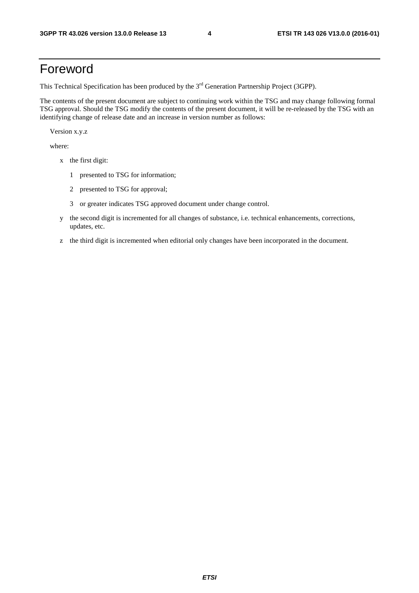# Foreword

This Technical Specification has been produced by the 3<sup>rd</sup> Generation Partnership Project (3GPP).

The contents of the present document are subject to continuing work within the TSG and may change following formal TSG approval. Should the TSG modify the contents of the present document, it will be re-released by the TSG with an identifying change of release date and an increase in version number as follows:

Version x.y.z

where:

- x the first digit:
	- 1 presented to TSG for information;
	- 2 presented to TSG for approval;
	- 3 or greater indicates TSG approved document under change control.
- y the second digit is incremented for all changes of substance, i.e. technical enhancements, corrections, updates, etc.
- z the third digit is incremented when editorial only changes have been incorporated in the document.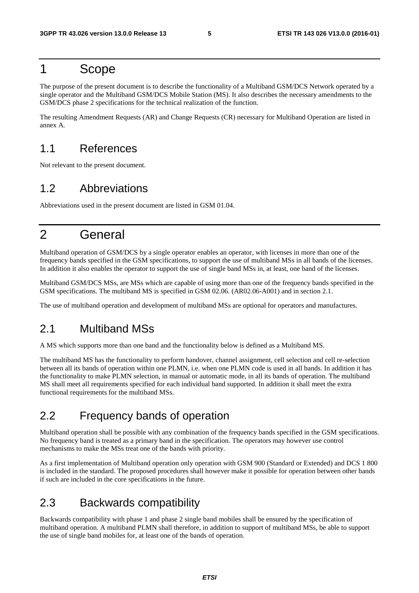# 1 Scope

The purpose of the present document is to describe the functionality of a Multiband GSM/DCS Network operated by a single operator and the Multiband GSM/DCS Mobile Station (MS). It also describes the necessary amendments to the GSM/DCS phase 2 specifications for the technical realization of the function.

The resulting Amendment Requests (AR) and Change Requests (CR) necessary for Multiband Operation are listed in annex A.

# 1.1 References

Not relevant to the present document.

# 1.2 Abbreviations

Abbreviations used in the present document are listed in GSM 01.04.

# 2 General

Multiband operation of GSM/DCS by a single operator enables an operator, with licenses in more than one of the frequency bands specified in the GSM specifications, to support the use of multiband MSs in all bands of the licenses. In addition it also enables the operator to support the use of single band MSs in, at least, one band of the licenses.

Multiband GSM/DCS MSs, are MSs which are capable of using more than one of the frequency bands specified in the GSM specifications. The multiband MS is specified in GSM 02.06. (AR02.06-A001) and in section 2.1.

The use of multiband operation and development of multiband MSs are optional for operators and manufactures.

## 2.1 Multiband MSs

A MS which supports more than one band and the functionality below is defined as a Multiband MS.

The multiband MS has the functionality to perform handover, channel assignment, cell selection and cell re-selection between all its bands of operation within one PLMN, i.e. when one PLMN code is used in all bands. In addition it has the functionality to make PLMN selection, in manual or automatic mode, in all its bands of operation. The multiband MS shall meet all requirements specified for each individual band supported. In addition it shall meet the extra functional requirements for the multiband MSs.

# 2.2 Frequency bands of operation

Multiband operation shall be possible with any combination of the frequency bands specified in the GSM specifications. No frequency band is treated as a primary band in the specification. The operators may however use control mechanisms to make the MSs treat one of the bands with priority.

As a first implementation of Multiband operation only operation with GSM 900 (Standard or Extended) and DCS 1 800 is included in the standard. The proposed procedures shall however make it possible for operation between other bands if such are included in the core specifications in the future.

# 2.3 Backwards compatibility

Backwards compatibility with phase 1 and phase 2 single band mobiles shall be ensured by the specification of multiband operation. A multiband PLMN shall therefore, in addition to support of multiband MSs, be able to support the use of single band mobiles for, at least one of the bands of operation.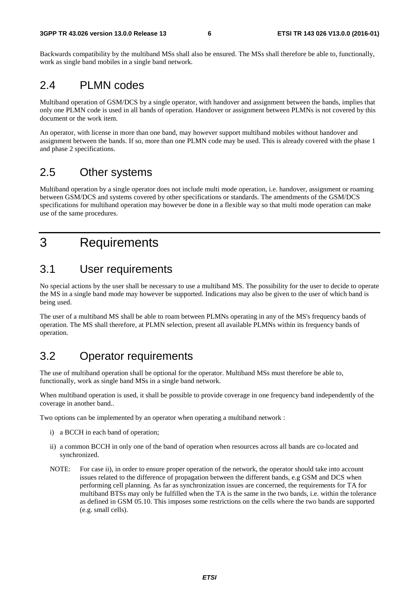Backwards compatibility by the multiband MSs shall also be ensured. The MSs shall therefore be able to, functionally, work as single band mobiles in a single band network.

### 2.4 PLMN codes

Multiband operation of GSM/DCS by a single operator, with handover and assignment between the bands, implies that only one PLMN code is used in all bands of operation. Handover or assignment between PLMNs is not covered by this document or the work item.

An operator, with license in more than one band, may however support multiband mobiles without handover and assignment between the bands. If so, more than one PLMN code may be used. This is already covered with the phase 1 and phase 2 specifications.

# 2.5 Other systems

Multiband operation by a single operator does not include multi mode operation, i.e. handover, assignment or roaming between GSM/DCS and systems covered by other specifications or standards. The amendments of the GSM/DCS specifications for multiband operation may however be done in a flexible way so that multi mode operation can make use of the same procedures.

# 3 Requirements

### 3.1 User requirements

No special actions by the user shall be necessary to use a multiband MS. The possibility for the user to decide to operate the MS in a single band mode may however be supported. Indications may also be given to the user of which band is being used.

The user of a multiband MS shall be able to roam between PLMNs operating in any of the MS's frequency bands of operation. The MS shall therefore, at PLMN selection, present all available PLMNs within its frequency bands of operation.

# 3.2 Operator requirements

The use of multiband operation shall be optional for the operator. Multiband MSs must therefore be able to, functionally, work as single band MSs in a single band network.

When multiband operation is used, it shall be possible to provide coverage in one frequency band independently of the coverage in another band..

Two options can be implemented by an operator when operating a multiband network :

- i) a BCCH in each band of operation;
- ii) a common BCCH in only one of the band of operation when resources across all bands are co-located and synchronized.
- NOTE: For case ii), in order to ensure proper operation of the network, the operator should take into account issues related to the difference of propagation between the different bands, e.g GSM and DCS when performing cell planning. As far as synchronization issues are concerned, the requirements for TA for multiband BTSs may only be fulfilled when the TA is the same in the two bands, i.e. within the tolerance as defined in GSM 05.10. This imposes some restrictions on the cells where the two bands are supported (e.g. small cells).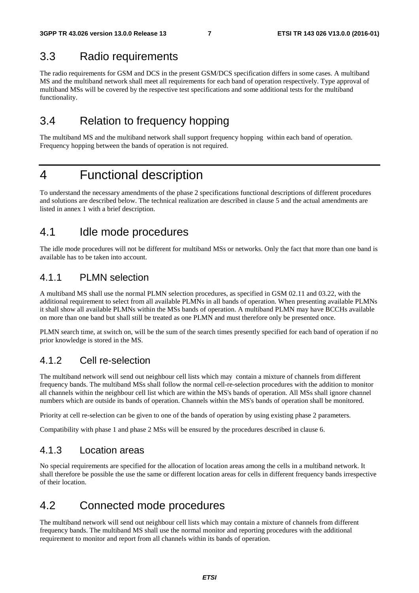### 3.3 Radio requirements

The radio requirements for GSM and DCS in the present GSM/DCS specification differs in some cases. A multiband MS and the multiband network shall meet all requirements for each band of operation respectively. Type approval of multiband MSs will be covered by the respective test specifications and some additional tests for the multiband functionality.

# 3.4 Relation to frequency hopping

The multiband MS and the multiband network shall support frequency hopping within each band of operation. Frequency hopping between the bands of operation is not required.

# 4 Functional description

To understand the necessary amendments of the phase 2 specifications functional descriptions of different procedures and solutions are described below. The technical realization are described in clause 5 and the actual amendments are listed in annex 1 with a brief description.

## 4.1 Idle mode procedures

The idle mode procedures will not be different for multiband MSs or networks. Only the fact that more than one band is available has to be taken into account.

### 4.1.1 PLMN selection

A multiband MS shall use the normal PLMN selection procedures, as specified in GSM 02.11 and 03.22, with the additional requirement to select from all available PLMNs in all bands of operation. When presenting available PLMNs it shall show all available PLMNs within the MSs bands of operation. A multiband PLMN may have BCCHs available on more than one band but shall still be treated as one PLMN and must therefore only be presented once.

PLMN search time, at switch on, will be the sum of the search times presently specified for each band of operation if no prior knowledge is stored in the MS.

### 4.1.2 Cell re-selection

The multiband network will send out neighbour cell lists which may contain a mixture of channels from different frequency bands. The multiband MSs shall follow the normal cell-re-selection procedures with the addition to monitor all channels within the neighbour cell list which are within the MS's bands of operation. All MSs shall ignore channel numbers which are outside its bands of operation. Channels within the MS's bands of operation shall be monitored.

Priority at cell re-selection can be given to one of the bands of operation by using existing phase 2 parameters.

Compatibility with phase 1 and phase 2 MSs will be ensured by the procedures described in clause 6.

### 4.1.3 Location areas

No special requirements are specified for the allocation of location areas among the cells in a multiband network. It shall therefore be possible the use the same or different location areas for cells in different frequency bands irrespective of their location.

# 4.2 Connected mode procedures

The multiband network will send out neighbour cell lists which may contain a mixture of channels from different frequency bands. The multiband MS shall use the normal monitor and reporting procedures with the additional requirement to monitor and report from all channels within its bands of operation.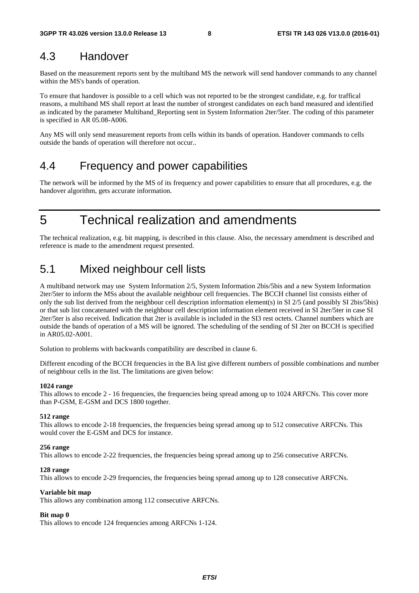## 4.3 Handover

Based on the measurement reports sent by the multiband MS the network will send handover commands to any channel within the MS's bands of operation.

To ensure that handover is possible to a cell which was not reported to be the strongest candidate, e.g. for traffical reasons, a multiband MS shall report at least the number of strongest candidates on each band measured and identified as indicated by the parameter Multiband\_Reporting sent in System Information 2ter/5ter. The coding of this parameter is specified in AR 05.08-A006.

Any MS will only send measurement reports from cells within its bands of operation. Handover commands to cells outside the bands of operation will therefore not occur..

### 4.4 Frequency and power capabilities

The network will be informed by the MS of its frequency and power capabilities to ensure that all procedures, e.g. the handover algorithm, gets accurate information.

5 Technical realization and amendments

The technical realization, e.g. bit mapping, is described in this clause. Also, the necessary amendment is described and reference is made to the amendment request presented.

# 5.1 Mixed neighbour cell lists

A multiband network may use System Information 2/5, System Information 2bis/5bis and a new System Information 2ter/5ter to inform the MSs about the available neighbour cell frequencies. The BCCH channel list consists either of only the sub list derived from the neighbour cell description information element(s) in SI 2/5 (and possibly SI 2bis/5bis) or that sub list concatenated with the neighbour cell description information element received in SI 2ter/5ter in case SI 2ter/5ter is also received. Indication that 2ter is available is included in the SI3 rest octets. Channel numbers which are outside the bands of operation of a MS will be ignored. The scheduling of the sending of SI 2ter on BCCH is specified in AR05.02-A001.

Solution to problems with backwards compatibility are described in clause 6.

Different encoding of the BCCH frequencies in the BA list give different numbers of possible combinations and number of neighbour cells in the list. The limitations are given below:

#### **1024 range**

This allows to encode 2 - 16 frequencies, the frequencies being spread among up to 1024 ARFCNs. This cover more than P-GSM, E-GSM and DCS 1800 together.

#### **512 range**

This allows to encode 2-18 frequencies, the frequencies being spread among up to 512 consecutive ARFCNs. This would cover the E-GSM and DCS for instance.

#### **256 range**

This allows to encode 2-22 frequencies, the frequencies being spread among up to 256 consecutive ARFCNs.

#### **128 range**

This allows to encode 2-29 frequencies, the frequencies being spread among up to 128 consecutive ARFCNs.

#### **Variable bit map**

This allows any combination among 112 consecutive ARFCNs.

#### **Bit map 0**

This allows to encode 124 frequencies among ARFCNs 1-124.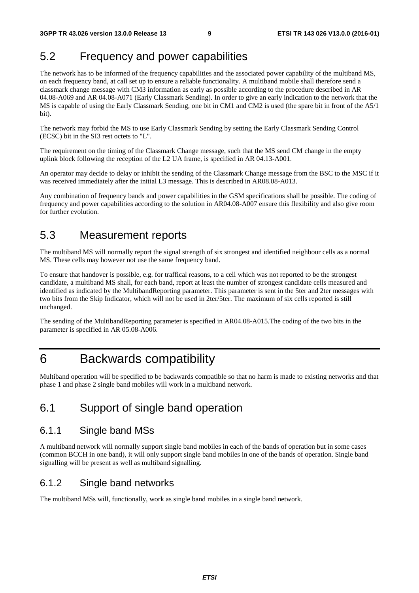# 5.2 Frequency and power capabilities

The network has to be informed of the frequency capabilities and the associated power capability of the multiband MS, on each frequency band, at call set up to ensure a reliable functionality. A multiband mobile shall therefore send a classmark change message with CM3 information as early as possible according to the procedure described in AR 04.08-A069 and AR 04.08-A071 (Early Classmark Sending)*.* In order to give an early indication to the network that the MS is capable of using the Early Classmark Sending, one bit in CM1 and CM2 is used (the spare bit in front of the A5/1 bit).

The network may forbid the MS to use Early Classmark Sending by setting the Early Classmark Sending Control (ECSC) bit in the SI3 rest octets to "L".

The requirement on the timing of the Classmark Change message, such that the MS send CM change in the empty uplink block following the reception of the L2 UA frame, is specified in AR 04.13-A001.

An operator may decide to delay or inhibit the sending of the Classmark Change message from the BSC to the MSC if it was received immediately after the initial L3 message. This is described in AR08.08-A013.

Any combination of frequency bands and power capabilities in the GSM specifications shall be possible. The coding of frequency and power capabilities according to the solution in AR04.08-A007 ensure this flexibility and also give room for further evolution.

# 5.3 Measurement reports

The multiband MS will normally report the signal strength of six strongest and identified neighbour cells as a normal MS. These cells may however not use the same frequency band.

To ensure that handover is possible, e.g. for traffical reasons, to a cell which was not reported to be the strongest candidate, a multiband MS shall, for each band, report at least the number of strongest candidate cells measured and identified as indicated by the MultibandReporting parameter. This parameter is sent in the 5ter and 2ter messages with two bits from the Skip Indicator, which will not be used in 2ter/5ter. The maximum of six cells reported is still unchanged.

The sending of the MultibandReporting parameter is specified in AR04.08-A015.The coding of the two bits in the parameter is specified in AR 05.08-A006.

# 6 Backwards compatibility

Multiband operation will be specified to be backwards compatible so that no harm is made to existing networks and that phase 1 and phase 2 single band mobiles will work in a multiband network.

# 6.1 Support of single band operation

### 6.1.1 Single band MSs

A multiband network will normally support single band mobiles in each of the bands of operation but in some cases (common BCCH in one band), it will only support single band mobiles in one of the bands of operation. Single band signalling will be present as well as multiband signalling.

### 6.1.2 Single band networks

The multiband MSs will, functionally, work as single band mobiles in a single band network.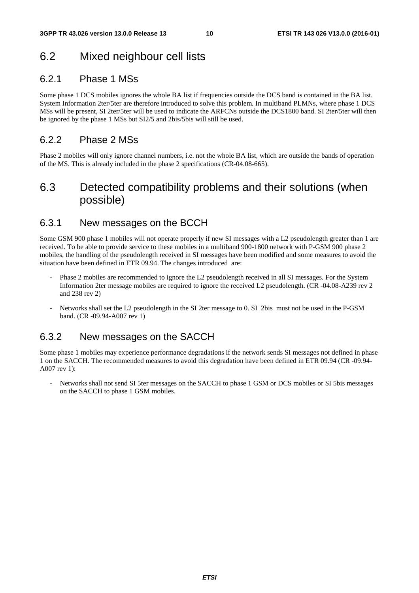# 6.2 Mixed neighbour cell lists

### 6.2.1 Phase 1 MSs

Some phase 1 DCS mobiles ignores the whole BA list if frequencies outside the DCS band is contained in the BA list. System Information 2ter/5ter are therefore introduced to solve this problem. In multiband PLMNs, where phase 1 DCS MSs will be present, SI 2ter/5ter will be used to indicate the ARFCNs outside the DCS1800 band. SI 2ter/5ter will then be ignored by the phase 1 MSs but SI2/5 and 2bis/5bis will still be used.

### 6.2.2 Phase 2 MSs

Phase 2 mobiles will only ignore channel numbers, i.e. not the whole BA list, which are outside the bands of operation of the MS. This is already included in the phase 2 specifications (CR-04.08-665).

# 6.3 Detected compatibility problems and their solutions (when possible)

### 6.3.1 New messages on the BCCH

Some GSM 900 phase 1 mobiles will not operate properly if new SI messages with a L2 pseudolength greater than 1 are received. To be able to provide service to these mobiles in a multiband 900-1800 network with P-GSM 900 phase 2 mobiles, the handling of the pseudolength received in SI messages have been modified and some measures to avoid the situation have been defined in ETR 09.94. The changes introduced are:

- Phase 2 mobiles are recommended to ignore the L2 pseudolength received in all SI messages. For the System Information 2ter message mobiles are required to ignore the received L2 pseudolength. (CR -04.08-A239 rev 2 and 238 rev 2)
- Networks shall set the L2 pseudolength in the SI 2ter message to 0. SI 2bis must not be used in the P-GSM band. (CR -09.94-A007 rev 1)

### 6.3.2 New messages on the SACCH

Some phase 1 mobiles may experience performance degradations if the network sends SI messages not defined in phase 1 on the SACCH. The recommended measures to avoid this degradation have been defined in ETR 09.94 (CR -09.94- A007 rev 1):

Networks shall not send SI 5ter messages on the SACCH to phase 1 GSM or DCS mobiles or SI 5bis messages on the SACCH to phase 1 GSM mobiles.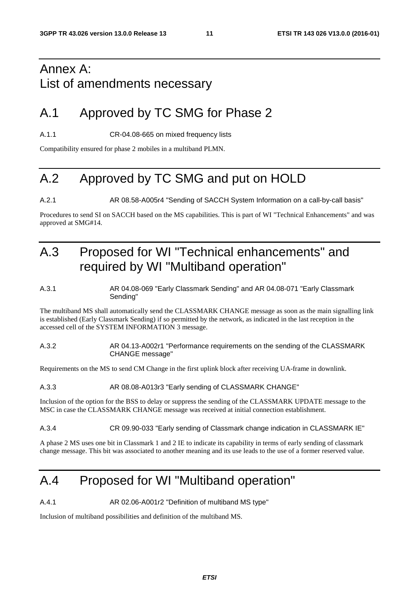# Annex A: List of amendments necessary

# A.1 Approved by TC SMG for Phase 2

A.1.1 CR-04.08-665 on mixed frequency lists

Compatibility ensured for phase 2 mobiles in a multiband PLMN.

# A.2 Approved by TC SMG and put on HOLD

A.2.1 AR 08.58-A005r4 "Sending of SACCH System Information on a call-by-call basis"

Procedures to send SI on SACCH based on the MS capabilities. This is part of WI "Technical Enhancements" and was approved at SMG#14.

# A.3 Proposed for WI "Technical enhancements" and required by WI "Multiband operation"

#### A.3.1 AR 04.08-069 "Early Classmark Sending" and AR 04.08-071 "Early Classmark Sending"

The multiband MS shall automatically send the CLASSMARK CHANGE message as soon as the main signalling link is established (Early Classmark Sending) if so permitted by the network, as indicated in the last reception in the accessed cell of the SYSTEM INFORMATION 3 message.

#### A.3.2 AR 04.13-A002r1 "Performance requirements on the sending of the CLASSMARK CHANGE message"

Requirements on the MS to send CM Change in the first uplink block after receiving UA-frame in downlink.

#### A.3.3 AR 08.08-A013r3 "Early sending of CLASSMARK CHANGE"

Inclusion of the option for the BSS to delay or suppress the sending of the CLASSMARK UPDATE message to the MSC in case the CLASSMARK CHANGE message was received at initial connection establishment.

#### A.3.4 CR 09.90-033 "Early sending of Classmark change indication in CLASSMARK IE"

A phase 2 MS uses one bit in Classmark 1 and 2 IE to indicate its capability in terms of early sending of classmark change message. This bit was associated to another meaning and its use leads to the use of a former reserved value.

# A.4 Proposed for WI "Multiband operation"

A.4.1 AR 02.06-A001r2 "Definition of multiband MS type"

Inclusion of multiband possibilities and definition of the multiband MS.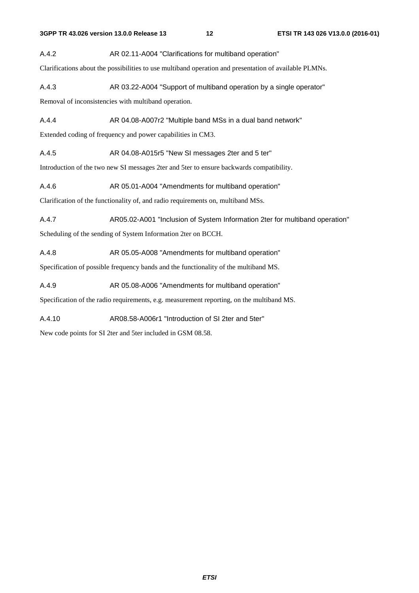A.4.2 AR 02.11-A004 "Clarifications for multiband operation"

Clarifications about the possibilities to use multiband operation and presentation of available PLMNs.

A.4.3 AR 03.22-A004 "Support of multiband operation by a single operator"

Removal of inconsistencies with multiband operation.

A.4.4 AR 04.08-A007r2 "Multiple band MSs in a dual band network"

Extended coding of frequency and power capabilities in CM3.

A.4.5 AR 04.08-A015r5 "New SI messages 2ter and 5 ter"

Introduction of the two new SI messages 2ter and 5ter to ensure backwards compatibility.

A.4.6 AR 05.01-A004 "Amendments for multiband operation"

Clarification of the functionality of, and radio requirements on, multiband MSs.

A.4.7 AR05.02-A001 "Inclusion of System Information 2ter for multiband operation"

Scheduling of the sending of System Information 2ter on BCCH.

A.4.8 AR 05.05-A008 "Amendments for multiband operation"

Specification of possible frequency bands and the functionality of the multiband MS.

A.4.9 AR 05.08-A006 "Amendments for multiband operation"

Specification of the radio requirements, e.g. measurement reporting, on the multiband MS.

A.4.10 AR08.58-A006r1 "Introduction of SI 2ter and 5ter"

New code points for SI 2ter and 5ter included in GSM 08.58.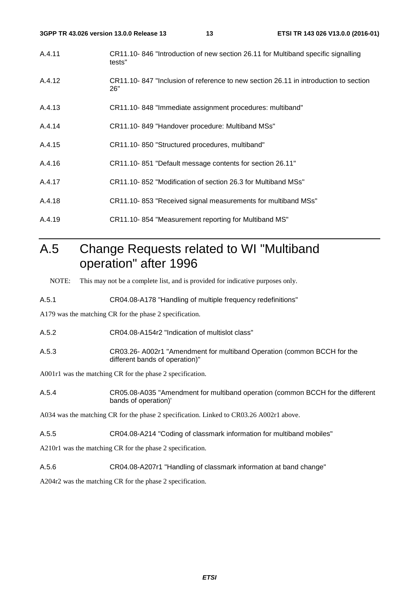| 3GPP TR 43.026 version 13.0.0 Release 13 |                                                              | 13 | ETSI TR 143 026 V13.0.0 (2016-01)                                                   |
|------------------------------------------|--------------------------------------------------------------|----|-------------------------------------------------------------------------------------|
| A.4.11                                   | tests"                                                       |    | CR11.10-846 "Introduction of new section 26.11 for Multiband specific signalling    |
| A.4.12                                   | 26"                                                          |    | CR11.10-847 "Inclusion of reference to new section 26.11 in introduction to section |
| A.4.13                                   | CR11.10-848 "Immediate assignment procedures: multiband"     |    |                                                                                     |
| A.4.14                                   | CR11.10-849 "Handover procedure: Multiband MSs"              |    |                                                                                     |
| A.4.15                                   | CR11.10-850 "Structured procedures, multiband"               |    |                                                                                     |
| A.4.16                                   | CR11.10-851 "Default message contents for section 26.11"     |    |                                                                                     |
| A.4.17                                   | CR11.10-852 "Modification of section 26.3 for Multiband MSs" |    |                                                                                     |
|                                          |                                                              |    |                                                                                     |

- A.4.18 CR11.10- 853 "Received signal measurements for multiband MSs"
- A.4.19 CR11.10- 854 "Measurement reporting for Multiband MS"

# A.5 Change Requests related to WI "Multiband operation" after 1996

NOTE: This may not be a complete list, and is provided for indicative purposes only.

A.5.1 CR04.08-A178 "Handling of multiple frequency redefinitions"

A179 was the matching CR for the phase 2 specification.

A.5.2 CR04.08-A154r2 "Indication of multislot class"

A.5.3 CR03.26- A002r1 "Amendment for multiband Operation (common BCCH for the different bands of operation)"

A001r1 was the matching CR for the phase 2 specification.

A.5.4 CR05.08-A035 "Amendment for multiband operation (common BCCH for the different bands of operation)'

A034 was the matching CR for the phase 2 specification. Linked to CR03.26 A002r1 above.

A.5.5 CR04.08-A214 "Coding of classmark information for multiband mobiles"

A210r1 was the matching CR for the phase 2 specification.

A.5.6 CR04.08-A207r1 "Handling of classmark information at band change"

A204r2 was the matching CR for the phase 2 specification.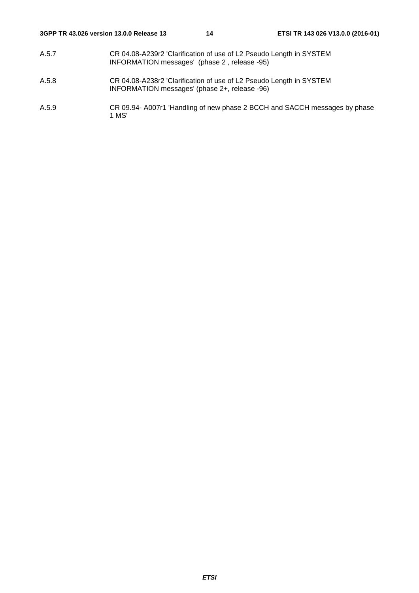- A.5.7 CR 04.08-A239r2 'Clarification of use of L2 Pseudo Length in SYSTEM INFORMATION messages' (phase 2 , release -95)
- A.5.8 CR 04.08-A238r2 'Clarification of use of L2 Pseudo Length in SYSTEM INFORMATION messages' (phase 2+, release -96)
- A.5.9 CR 09.94- A007r1 'Handling of new phase 2 BCCH and SACCH messages by phase 1 MS'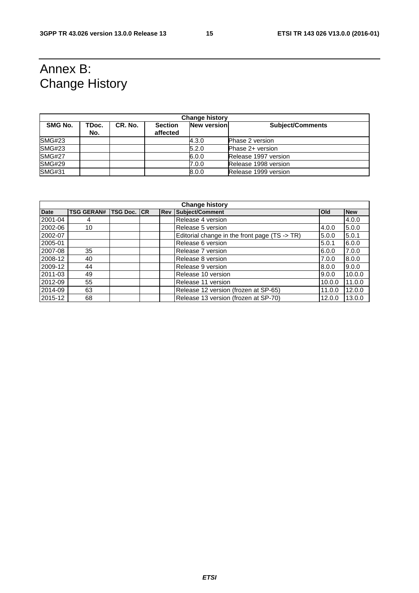# Annex B: Change History

| <b>Change history</b> |              |         |                            |                    |                         |
|-----------------------|--------------|---------|----------------------------|--------------------|-------------------------|
| SMG No.               | TDoc.<br>No. | CR. No. | <b>Section</b><br>affected | <b>New version</b> | <b>Subject/Comments</b> |
| <b>SMG#23</b>         |              |         |                            | 4.3.0              | <b>Phase 2 version</b>  |
| <b>SMG#23</b>         |              |         |                            | 5.2.0              | Phase 2+ version        |
| <b>SMG#27</b>         |              |         |                            | 6.0.0              | Release 1997 version    |
| <b>SMG#29</b>         |              |         |                            | 7.0.0              | Release 1998 version    |
| <b>SMG#31</b>         |              |         |                            | 8.0.0              | Release 1999 version    |

| <b>Change history</b> |                   |          |    |            |                                               |            |            |
|-----------------------|-------------------|----------|----|------------|-----------------------------------------------|------------|------------|
| <b>Date</b>           | <b>TSG GERAN#</b> | TSG Doc. | CR | <b>Rev</b> | Subject/Comment                               | <b>Old</b> | <b>New</b> |
| 2001-04               | 4                 |          |    |            | Release 4 version                             |            | 4.0.0      |
| 2002-06               | 10                |          |    |            | Release 5 version                             | 4.0.0      | 5.0.0      |
| 2002-07               |                   |          |    |            | Editorial change in the front page (TS -> TR) | 5.0.0      | 5.0.1      |
| 2005-01               |                   |          |    |            | Release 6 version                             | 5.0.1      | 6.0.0      |
| 2007-08               | 35                |          |    |            | Release 7 version                             | 6.0.0      | 7.0.0      |
| 2008-12               | 40                |          |    |            | Release 8 version                             | 7.0.0      | 8.0.0      |
| 2009-12               | 44                |          |    |            | Release 9 version                             | 8.0.0      | 9.0.0      |
| 2011-03               | 49                |          |    |            | Release 10 version                            | 9.0.0      | 10.0.0     |
| 2012-09               | 55                |          |    |            | Release 11 version                            | 10.0.0     | 11.0.0     |
| 2014-09               | 63                |          |    |            | Release 12 version (frozen at SP-65)          | 11.0.0     | 12.0.0     |
| 2015-12               | 68                |          |    |            | Release 13 version (frozen at SP-70)          | 12.0.0     | 13.0.0     |